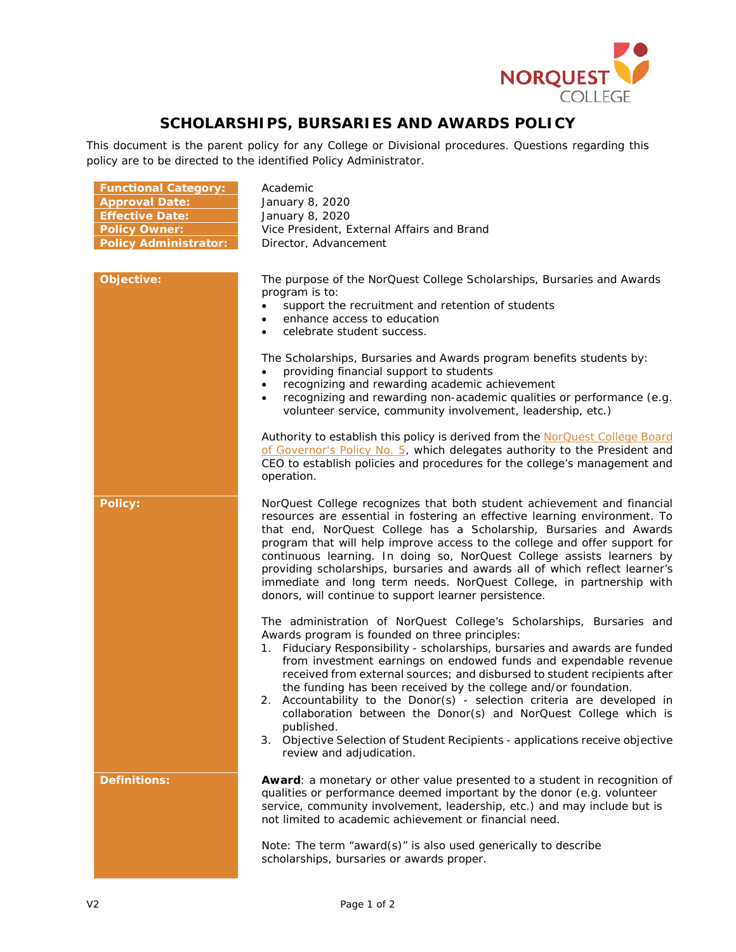

## **SCHOLARSHIPS, BURSARIES AND AWARDS POLICY**

This document is the parent policy for any College or Divisional procedures. Questions regarding this policy are to be directed to the identified Policy Administrator.